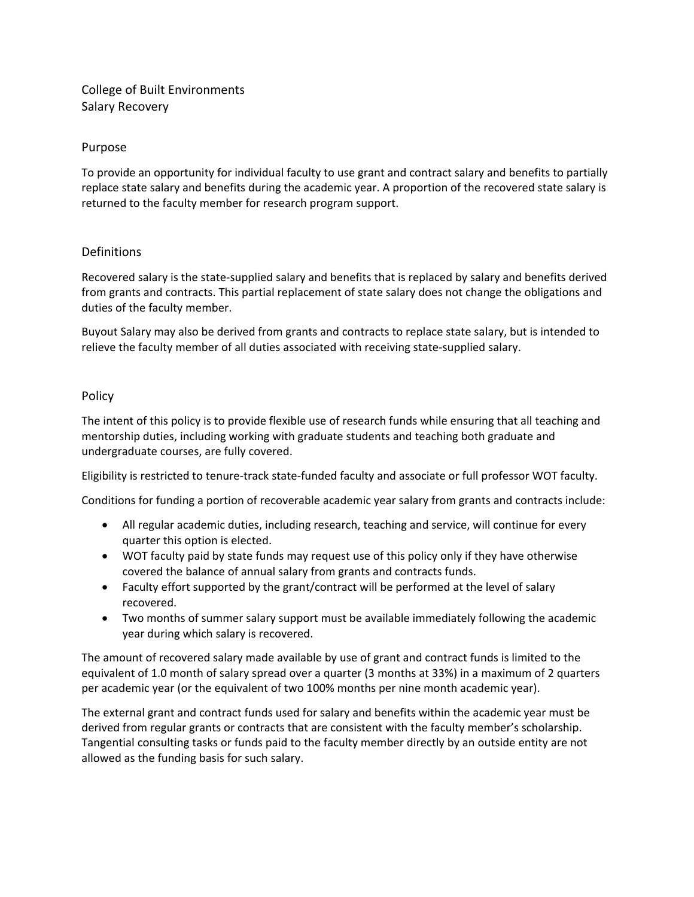# College of Built Environments Salary Recovery

### Purpose

To provide an opportunity for individual faculty to use grant and contract salary and benefits to partially replace state salary and benefits during the academic year. A proportion of the recovered state salary is returned to the faculty member for research program support.

#### Definitions

Recovered salary is the state‐supplied salary and benefits that is replaced by salary and benefits derived from grants and contracts. This partial replacement of state salary does not change the obligations and duties of the faculty member.

Buyout Salary may also be derived from grants and contracts to replace state salary, but is intended to relieve the faculty member of all duties associated with receiving state‐supplied salary.

#### Policy

The intent of this policy is to provide flexible use of research funds while ensuring that all teaching and mentorship duties, including working with graduate students and teaching both graduate and undergraduate courses, are fully covered.

Eligibility is restricted to tenure‐track state‐funded faculty and associate or full professor WOT faculty.

Conditions for funding a portion of recoverable academic year salary from grants and contracts include:

- All regular academic duties, including research, teaching and service, will continue for every quarter this option is elected.
- WOT faculty paid by state funds may request use of this policy only if they have otherwise covered the balance of annual salary from grants and contracts funds.
- Faculty effort supported by the grant/contract will be performed at the level of salary recovered.
- Two months of summer salary support must be available immediately following the academic year during which salary is recovered.

The amount of recovered salary made available by use of grant and contract funds is limited to the equivalent of 1.0 month of salary spread over a quarter (3 months at 33%) in a maximum of 2 quarters per academic year (or the equivalent of two 100% months per nine month academic year).

The external grant and contract funds used for salary and benefits within the academic year must be derived from regular grants or contracts that are consistent with the faculty member's scholarship. Tangential consulting tasks or funds paid to the faculty member directly by an outside entity are not allowed as the funding basis for such salary.